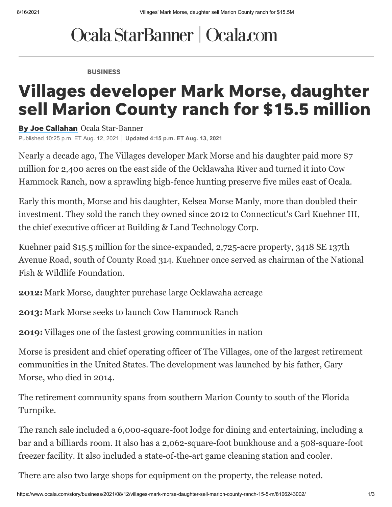## Ocala StarBanner | Ocala.com

BUSINESS

## Villages developer Mark Morse, daughter sell Marion County ranch for \$15.5 million

By Joe [Callahan](https://www.ocala.com/staff/3364367001/by-joe-callahan/) Ocala Star-Banner Published 10:25 p.m. ET Aug. 12, 2021 **Updated 4:15 p.m. ET Aug. 13, 2021**

Nearly a decade ago, The Villages developer Mark Morse and his daughter paid more \$7 [million for 2,400 acres on the east side of the Ocklawaha River and turned it into Cow](https://www.ocala.com/article/LK/20130126/news/604138075/OS) Hammock Ranch, now a sprawling high-fence hunting preserve five miles east of Ocala.

Early this month, Morse and his daughter, Kelsea Morse Manly, more than doubled their investment. They sold the ranch they owned since 2012 to Connecticut's Carl Kuehner III, the chief executive officer at Building & Land Technology Corp.

Kuehner paid \$15.5 million for the since-expanded, 2,725-acre property, 3418 SE 137th Avenue Road, south of County Road 314. Kuehner once served as chairman of the National Fish & Wildlife Foundation.

**2012:** [Mark Morse, daughter purchase large Ocklawaha acreage](https://www.ocala.com/article/LK/20120716/News/604144430/OS)

**2013:** [Mark Morse seeks to launch Cow Hammock Ranch](https://www.ocala.com/article/LK/20130126/news/604138075/OS)

**2019:** [Villages one of the fastest growing communities in nation](https://www.ocala.com/news/20190418/villages-growth-still-strong)

Morse is president and chief operating officer of The Villages, one of the largest retirement communities in the United States. The development was launched by his father, Gary Morse, who died in 2014.

The retirement community spans from southern Marion County to south of the Florida Turnpike.

The ranch sale included a 6,000-square-foot lodge for dining and entertaining, including a bar and a [billiards room. It also has a 2,062-square-foot bunkhouse and a 508-square-foot](https://www.ocala.com/article/LK/20130126/news/604138075/OS) freezer facility. It also included a state-of-the-art game cleaning station and cooler.

There are also two large shops for equipment on the property, the release noted.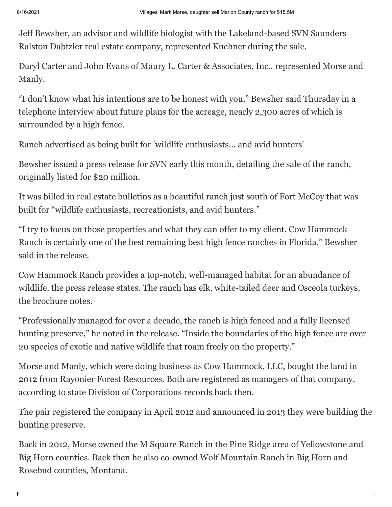Jeff Bewsher, an advisor and wildlife biologist with the Lakeland-based SVN Saunders Ralston Dabtzler real estate company, represented Kuehner during the sale.

Daryl Carter and John Evans of Maury L. Carter & Associates, Inc., represented Morse and Manly.

"I don't know what his intentions are to be honest with you," Bewsher said Thursday in a telephone interview about future plans for the acreage, nearly 2,300 acres of which is surrounded by a high fence.

Ranch advertised as being built for 'wildlife enthusiasts... and avid hunters'

Bewsher issued a press release for SVN early this month, detailing the sale of the ranch, originally listed for \$20 million.

It was billed in real estate bulletins as a beautiful ranch just south of Fort McCoy that was built for "wildlife enthusiasts, recreationists, and avid hunters."

"I try to focus on those properties and what they can offer to my client. Cow Hammock Ranch is certainly one of the best remaining best high fence ranches in Florida," Bewsher said in the release.

Cow Hammock Ranch provides a top-notch, well-managed habitat for an abundance of wildlife, the press release states. The ranch has elk, white-tailed deer and Osceola turkeys, the brochure notes.

"Professionally managed for over a decade, the ranch is high fenced and a fully licensed hunting preserve," he noted in the release. "Inside the boundaries of the high fence are over 20 species of exotic and native wildlife that roam freely on the property."

Morse and Manly, which were doing business as Cow Hammock, LLC, bought the land in 2012 from Rayonier Forest Resources. Both are registered as managers of that company, according to state Division of Corporations records back then.

The pair registered the company in April 2012 and announced in 2013 they were building the hunting preserve.

Back in 2012, Morse owned the M Square Ranch in the Pine Ridge area of Yellowstone and Big Horn counties. Back then he also co-owned Wolf Mountain Ranch in Big Horn and Rosebud counties, Montana.